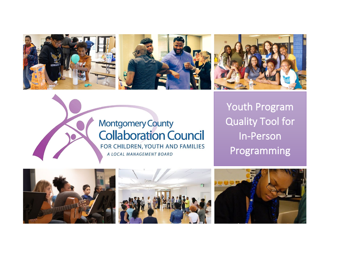





# **Montgomery County Collaboration Council** FOR CHILDREN, YOUTH AND FAMILIES A LOCAL MANAGEMENT BOARD

Youth Program Quality Tool for In-Person Programming





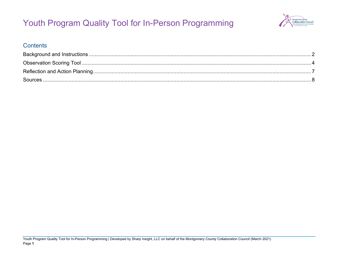

### **Contents**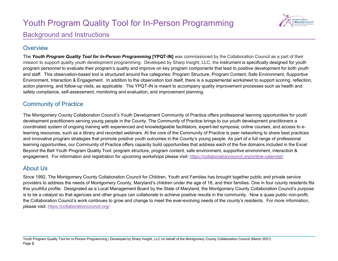

### <span id="page-2-0"></span>Background and Instructions

### **Overview**

The *Youth Program Quality Tool for In-Person Programming* **[YPQT-IN]** was commissioned by the Collaboration Council as a part of their mission to support quality youth development programming. Developed by Sharp Insight, LLC, the instrument is specifically designed for youth program personnel to evaluate their program's quality and improve on key program components that lead to positive development for both youth and staff. This observation-based tool is structured around five categories: Program Structure, Program Content, Safe Environment, Supportive Environment, Interaction & Engagement. In addition to the observation tool itself, there is a supplemental worksheet to support scoring, reflection, action planning, and follow-up visits, as applicable. The YPQT-IN is meant to accompany quality improvement processes such as health and safety compliance, self-assessment, monitoring and evaluation, and improvement planning.

### Community of Practice

The Montgomery County Collaboration Council's Youth Development Community of Practice offers professional learning opportunities for youth development practitioners serving young people in the County. The Community of Practice brings to our youth development practitioners a coordinated system of ongoing training with experienced and knowledgeable facilitators, expert-led symposia, online courses, and access to elearning resources, such as a library and recorded webinars. At the core of the Community of Practice is peer networking to share best practices and innovative program strategies that promote positive youth outcomes in the County's young people. As part of a full range of professional learning opportunities, our Community of Practice offers capacity build opportunities that address each of the five domains included in the Excel Beyond the Bell Youth Program Quality Tool: program structure, program content, safe environment, supportive environment, interaction & engagement. For information and registration for upcoming workshops please visit:<https://collaborationcouncil.org/online-calendar/>

### About Us

Since 1992, The Montgomery County Collaboration Council for Children, Youth and Families has brought together public and private service providers to address the needs of Montgomery County, Maryland's children under the age of 18, and their families. One in four county residents fits this youthful profile. Designated as a Local Management Board by the State of Maryland, the Montgomery County Collaboration Council's purpose is to be a catalyst so that agencies and other groups can collaborate to achieve positive results in the community. Now a quasi public non-profit, the Collaboration Council's work continues to grow and change to meet the ever-evolving needs of the county's residents. For more information, please visit:<https://collaborationcouncil.org/>

Youth Program Quality Tool for In-Person Programming | Developed by Sharp Insight, LLC on behalf of the Montgomery County Collaboration Council (March 2021) Page **2**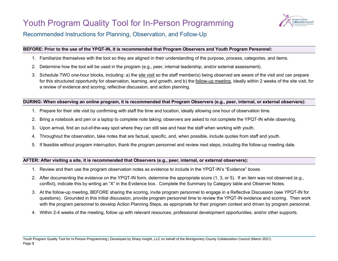

#### Recommended Instructions for Planning, Observation, and Follow-Up

#### **BEFORE: Prior to the use of the YPQT-IN, it is recommended that Program Observers and Youth Program Personnel:**

- 1. Familiarize themselves with the tool so they are aligned in their understanding of the purpose, process, categories, and items.
- 2. Determine how the tool will be used in the program (e.g., peer, internal leadership, and/or external assessment).
- 3. Schedule TWO one-hour blocks, including: a) the site visit so the staff member(s) being observed are aware of the visit and can prepare for this structured opportunity for observation, learning, and growth, and b) the follow-up meeting, ideally within 2 weeks of the site visit, for a review of evidence and scoring, reflective discussion, and action planning.

#### **DURING: When observing an online program, it is recommended that Program Observers (e.g., peer, internal, or external observers):**

- 1. Prepare for their site visit by confirming with staff the time and location, ideally allowing one hour of observation time.
- 2. Bring a notebook and pen or a laptop to complete note taking; observers are asked to not complete the YPQT-IN while observing.
- 3. Upon arrival, find an out-of-the-way spot where they can still see and hear the staff when working with youth.
- 4. Throughout the observation, take notes that are factual, specific, and, when possible, include quotes from staff and youth.
- 5. If feasible without program interruption, thank the program personnel and review next steps, including the follow-up meeting date.

#### **AFTER: After visiting a site, it is recommended that Observers (e.g., peer, internal, or external observers):**

- 1. Review and then use the program observation notes as evidence to include in the YPQT-IN's "Evidence" boxes.
- 2. After documenting the evidence on the YPQT-IN form, determine the appropriate score (1, 3, or 5). If an item was not observed (e.g., conflict), indicate this by writing an "X" in the Evidence box. Complete the Summary by Category table and Observer Notes.
- 3. At the follow-up meeting, BEFORE sharing the scoring, invite program personnel to engage in a Reflective Discussion (see YPQT-IN for questions). Grounded in this initial discussion, provide program personnel time to review the YPQT-IN evidence and scoring. Then work with the program personnel to develop Action Planning Steps, as appropriate for their program context and driven by program personnel.
- 4. Within 2-4 weeks of the meeting, follow up with relevant resources, professional development opportunities, and/or other supports.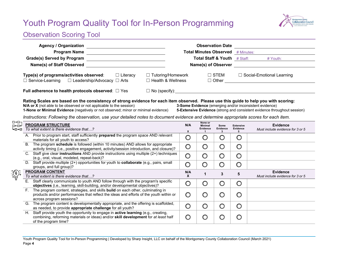

## <span id="page-4-0"></span>Observation Scoring Tool

|                            | <b>Agency / Organization</b>                                                                                                                                                                                                                                                                                                                                                                                                                                                                                                                                                       |                          |                                                         | <b>Observation Date</b> |                                   |                                                                                                                                                                                                                                |  |  |  |  |  |  |
|----------------------------|------------------------------------------------------------------------------------------------------------------------------------------------------------------------------------------------------------------------------------------------------------------------------------------------------------------------------------------------------------------------------------------------------------------------------------------------------------------------------------------------------------------------------------------------------------------------------------|--------------------------|---------------------------------------------------------|-------------------------|-----------------------------------|--------------------------------------------------------------------------------------------------------------------------------------------------------------------------------------------------------------------------------|--|--|--|--|--|--|
|                            | Program Name                                                                                                                                                                                                                                                                                                                                                                                                                                                                                                                                                                       |                          | <b>Total Minutes Observed</b> # Minutes:                |                         |                                   |                                                                                                                                                                                                                                |  |  |  |  |  |  |
|                            | <b>Grade(s) Served by Program</b><br><u> 1989 - Johann Barbara, martin amerikan personal (</u>                                                                                                                                                                                                                                                                                                                                                                                                                                                                                     |                          | Total Staff & Youth # Staff:                            |                         |                                   | # Youth:                                                                                                                                                                                                                       |  |  |  |  |  |  |
|                            | Name(s) of Staff Observed<br><u> 1980 - Jan Samuel Barbara, martin d</u>                                                                                                                                                                                                                                                                                                                                                                                                                                                                                                           |                          |                                                         |                         |                                   | Name(s) of Observer Name (s) Note that the state of the state of the state of the state of the state of the state of the state of the state of the state of the state of the state of the state of the state of the state of t |  |  |  |  |  |  |
|                            |                                                                                                                                                                                                                                                                                                                                                                                                                                                                                                                                                                                    |                          |                                                         |                         |                                   |                                                                                                                                                                                                                                |  |  |  |  |  |  |
|                            | $\Box$ Literacy<br>Type(s) of programs/activities observed:                                                                                                                                                                                                                                                                                                                                                                                                                                                                                                                        | $\Box$ Tutoring/Homework |                                                         | $\Box$ STEM             |                                   | □ Social-Emotional Learning                                                                                                                                                                                                    |  |  |  |  |  |  |
|                            | $\Box$ Service-Learning $\Box$ Leadership/Advocacy $\Box$ Arts                                                                                                                                                                                                                                                                                                                                                                                                                                                                                                                     |                          | □ Health & Wellness                                     |                         |                                   | $\Box$ Other $\_\_$                                                                                                                                                                                                            |  |  |  |  |  |  |
|                            | $\Box$ No (specify): $\Box$<br>Full adherence to health protocols observed: $\Box$ Yes                                                                                                                                                                                                                                                                                                                                                                                                                                                                                             |                          |                                                         |                         |                                   |                                                                                                                                                                                                                                |  |  |  |  |  |  |
|                            | Rating Scales are based on the consistency of strong evidence for each item observed. Please use this guide to help you with scoring:<br>N/A or X (not able to be observed or not applicable to the session)<br>3-Some Evidence (emerging and/or inconsistent evidence)<br>1-None or Minimal Evidence (negatively or not observed; minor or minimal evidence)<br>5-Extensive Evidence (strong and consistent evidence throughout session)<br>Instructions: Following the observation, use your detailed notes to document evidence and determine appropriate scores for each item. |                          |                                                         |                         |                                   |                                                                                                                                                                                                                                |  |  |  |  |  |  |
| ⊡→⊡⊣<br>⊡←⊡≁<br>⊦⊡≁⊡       | <b>PROGRAM STRUCTURE</b><br>To what extent is there evidence that?                                                                                                                                                                                                                                                                                                                                                                                                                                                                                                                 | N/A<br>$\mathbf{x}$      | None or<br><b>Minimal</b><br>Evidence<br>$\overline{1}$ | Some<br>Evidence<br>3   | <b>Extensive</b><br>Evidence<br>5 | <b>Evidence</b><br>Must include evidence for 3 or 5                                                                                                                                                                            |  |  |  |  |  |  |
|                            | A. Prior to program start, staff sufficiently <b>prepared</b> the program space AND relevant<br>materials for all youth to access?                                                                                                                                                                                                                                                                                                                                                                                                                                                 | $\bigcirc$               | $\bigcirc$                                              | $\bigcirc$              | $\bigcirc$                        |                                                                                                                                                                                                                                |  |  |  |  |  |  |
|                            | The program schedule is followed (within 10 minutes) AND allows for appropriate<br>B <sub>1</sub><br>activity timing (i.e., positive engagement, activity/session introduction, and closure)?                                                                                                                                                                                                                                                                                                                                                                                      | $\bigcirc$               | $\bigcirc$                                              | $\bigcirc$              | $\bigcirc$                        |                                                                                                                                                                                                                                |  |  |  |  |  |  |
|                            | C. Staff give clear instructions AND provide instructions using multiple (2+) techniques<br>(e.g., oral, visual, modeled, repeat-back)?                                                                                                                                                                                                                                                                                                                                                                                                                                            | $\bigcirc$               | $\bigcirc$                                              | $\bigcirc$              | $\bigcirc$                        |                                                                                                                                                                                                                                |  |  |  |  |  |  |
|                            | D. Staff provide multiple (2+) opportunities for youth to collaborate (e.g., pairs, small<br>groups, and full group)?                                                                                                                                                                                                                                                                                                                                                                                                                                                              | $\bigcirc$               | $\bigcirc$                                              | $\bigcirc$              | $\bigcirc$                        |                                                                                                                                                                                                                                |  |  |  |  |  |  |
| $\left(\frac{4}{3}\right)$ | <b>PROGRAM CONTENT</b><br>To what extent is there evidence that?                                                                                                                                                                                                                                                                                                                                                                                                                                                                                                                   | N/A<br>X                 | $\mathbf 1$                                             | 3                       | 5                                 | <b>Evidence</b><br>Must include evidence for 3 or 5                                                                                                                                                                            |  |  |  |  |  |  |
|                            | E. Staff clearly communicate to youth AND follow through with the program's specific<br>objectives (i.e., learning, skill-building, and/or developmental objectives)?                                                                                                                                                                                                                                                                                                                                                                                                              | $\bigcirc$               | $\circ$                                                 | $\circ$                 | $\bigcirc$                        |                                                                                                                                                                                                                                |  |  |  |  |  |  |
|                            | F. The program content, strategies, and skills build on each other, culminating in<br>products and/or performances that reflect the ideas and efforts of the youth within or<br>across program sessions?                                                                                                                                                                                                                                                                                                                                                                           | $\bigcirc$               | $\bigcirc$                                              | $\bigcirc$              | $\bigcirc$                        |                                                                                                                                                                                                                                |  |  |  |  |  |  |
|                            | G. The program content is developmentally appropriate, and the offering is scaffolded,<br>as needed, to provide appropriate challenge for all youth?                                                                                                                                                                                                                                                                                                                                                                                                                               | $\bigcirc$               | $\bigcirc$                                              | $\circ$                 | $\circ$                           |                                                                                                                                                                                                                                |  |  |  |  |  |  |
|                            | H.<br>Staff provide youth the opportunity to engage in active learning (e.g., creating,<br>combining, reforming materials or ideas) and/or skill development for at least half<br>of the program time?                                                                                                                                                                                                                                                                                                                                                                             | $\circ$                  | $\circ$                                                 | $\circ$                 | $\circ$                           |                                                                                                                                                                                                                                |  |  |  |  |  |  |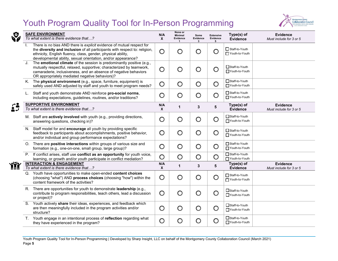

| Ø           | <b>SAFE ENVIRONMENT</b><br>To what extent is there evidence that?                                                                                                                                                                                                                    | N/A<br>$\mathsf{x}$     | None or<br><b>Minimal</b><br>Evidence | Some<br>Evidence<br>3 | <b>Extensive</b><br>Evidence<br>5 | Type(s) of<br><b>Evidence</b>      | <b>Evidence</b><br>Must include for 3 or 5 |
|-------------|--------------------------------------------------------------------------------------------------------------------------------------------------------------------------------------------------------------------------------------------------------------------------------------|-------------------------|---------------------------------------|-----------------------|-----------------------------------|------------------------------------|--------------------------------------------|
|             | There is no bias AND there is explicit evidence of mutual respect for<br>the diversity and inclusion of all participants with respect to: religion,<br>ethnicity, English fluency, class, gender, physical ability,<br>developmental ability, sexual orientation, and/or appearance? | O                       | $\circ$                               | $\bigcirc$            | $\circ$                           | Staff-to-Youth<br>Youth-to-Youth   |                                            |
|             | J.<br>The emotional climate of the session is predominantly positive (e.g.,<br>mutually respectful, relaxed, supportive; characterized by teamwork,<br>camaraderie, inclusiveness, and an absence of negative behaviors<br>OR appropriately mediated negative behaviors)?            | $\circ$                 | $\circ$                               | O                     | $\bigcirc$                        | □Staff-to-Youth<br>TYouth-to-Youth |                                            |
|             | K. The physical environment (e.g., space, furniture, equipment) is<br>safely used AND adjusted by staff and youth to meet program needs?                                                                                                                                             | $\mathop{\mathsf{O}}$   | $\circ$                               | $\circ$               | $\circ$                           | Staff-to-Youth<br>Youth-to-Youth   |                                            |
|             | L. Staff and youth demonstrate AND reinforce pro-social norms,<br>including expectations, guidelines, routines, and/or traditions?                                                                                                                                                   | $\circ$                 | $\circ$                               | $\circ$               | $\circ$                           | Staff-to-Youth<br>□ Youth-to-Youth |                                            |
|             | <b>SUPPORTIVE ENVIRONMENT</b><br>To what extent is there evidence that?                                                                                                                                                                                                              | N/A<br>$\mathbf{x}$     | 1                                     | $\mathbf{3}$          | 5                                 | Type(s) of<br><b>Evidence</b>      | Evidence<br>Must include for 3 or 5        |
|             | M. Staff are actively involved with youth (e.g., providing directions,<br>answering questions, checking in)?                                                                                                                                                                         | $\circ$                 | O                                     | $\circ$               | $\circ$                           | Staff-to-Youth<br>TYouth-to-Youth  |                                            |
|             | N. Staff model for and encourage all youth by providing specific<br>feedback to participants about accomplishments, positive behavior,<br>and/or individual and group performance expectations?                                                                                      | O                       | $\circ$                               | $\circ$               | $\bigcirc$                        | Staff-to-Youth<br>Youth-to-Youth   |                                            |
|             | O. There are positive interactions within groups of various size and<br>formation (e.g., one-on-one, small group, large group)?                                                                                                                                                      | $\circ$                 | $\circ$                               | $\bigcirc$            | $\circ$                           | Staff-to-Youth<br>Youth-to-Youth   |                                            |
|             | P. If conflict arises, staff use conflict as an opportunity for youth voice,<br>learning, or growth and/or youth participate in conflict mediation?                                                                                                                                  | $\overline{\mathsf{O}}$ | $\bigcirc$                            | $\bigcirc$            | $\bigcirc$                        | □ Staff-to-Youth<br>Youth-to-Youth |                                            |
| <b>````</b> | <b>INTERACTION &amp; ENGAGEMENT</b><br>To what extent is there evidence that?                                                                                                                                                                                                        | N/A<br>X                | 1                                     | $\mathbf{3}$          | 5                                 | Type(s) of<br>Evidence             | <b>Evidence</b><br>Must include for 3 or 5 |
|             | Q. Youth have opportunities to make open-ended content choices<br>(choosing "what") AND process choices (choosing "how") within the<br>content framework of the activities?                                                                                                          | $\circ$                 | $\circ$                               | $\circ$               | $\bigcirc$                        | Staff-to-Youth<br>Youth-to-Youth   |                                            |
|             | R. There are opportunities for youth to demonstrate leadership (e.g.,<br>contribute to program responsibilities, teach others, lead a discussion<br>or project)?                                                                                                                     | $\circ$                 | $\mathop{\mathsf{O}}$                 | $\circ$               | $\circ$                           | □Staff-to-Youth<br>Youth-to-Youth  |                                            |
|             | S. Youth actively share their ideas, experiences, and feedback which<br>are then meaningfully included in the program activities and/or<br>structure?                                                                                                                                | $\circ$                 | $\circ$                               | $\circ$               | $\circ$                           | □Staff-to-Youth<br>Youth-to-Youth  |                                            |
|             | T. Youth engage in an intentional process of reflection regarding what<br>they have experienced in the program?                                                                                                                                                                      | $\circ$                 | $\circ$                               | $\bigcirc$            | $\circ$                           | □Staff-to-Youth<br>Youth-to-Youth  |                                            |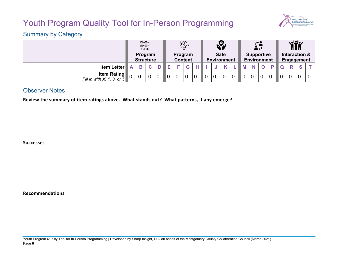

## Summary by Category

|                                                     |                             | ⊡→⊡⊣<br>⊡⊷⊡⊷<br>⊦⊞≁⊡ |   |                           |                |             | $\bigcirc \hspace{-2.5mm} \bigcirc \hspace{-2.5mm} \bigcirc \hspace{-2.5mm} \bigcirc \hspace{-2.5mm} \bigcirc \hspace{-2.5mm}$ |                |   |                                         | 71 L           |                |                | ě٠                          |                |                |                | وكاي        | 666 |  |
|-----------------------------------------------------|-----------------------------|----------------------|---|---------------------------|----------------|-------------|--------------------------------------------------------------------------------------------------------------------------------|----------------|---|-----------------------------------------|----------------|----------------|----------------|-----------------------------|----------------|----------------|----------------|-------------|-----|--|
|                                                     | Program<br><b>Structure</b> |                      |   | Program<br><b>Content</b> |                |             | <b>Safe</b><br>Environment                                                                                                     |                |   | <b>Supportive</b><br><b>Environment</b> |                |                |                | Interaction &<br>Engagement |                |                |                |             |     |  |
| <b>Item Letter</b>                                  | A                           | B                    | C |                           |                |             | G                                                                                                                              |                |   |                                         |                |                |                |                             |                |                |                | R           | S   |  |
| <b>Item Rating</b><br>Fill in with $X$ , 1, 3, or 5 | $\Omega$                    |                      |   |                           | $\overline{0}$ | $\mathbf 0$ |                                                                                                                                | $\overline{0}$ | 0 | $\overline{0}$                          | $\overline{0}$ | $\overline{0}$ | $\overline{0}$ |                             | $\overline{0}$ | $\overline{0}$ | $\overline{0}$ | $\mathbf 0$ |     |  |

#### Observer Notes

**Review the summary of item ratings above. What stands out? What patterns, if any emerge?**

**Successes**

**Recommendations**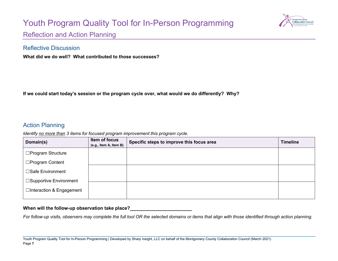

<span id="page-7-0"></span>Reflection and Action Planning

#### Reflective Discussion

**What did we do well? What contributed to those successes?**

**If we could start today's session or the program cycle over, what would we do differently? Why?**

### Action Planning

*Identify no more than 3 items for focused program improvement this program cycle.* 

| Domain(s)                 | Item of focus<br>(e.g., Item A, Item B) | Specific steps to improve this focus area | <b>Timeline</b> |
|---------------------------|-----------------------------------------|-------------------------------------------|-----------------|
| □Program Structure        |                                         |                                           |                 |
| □Program Content          |                                         |                                           |                 |
| □Safe Environment         |                                         |                                           |                 |
| □Supportive Environment   |                                         |                                           |                 |
| □Interaction & Engagement |                                         |                                           |                 |

#### **When will the follow-up observation take place?**

*For follow-up visits, observers may complete the full tool OR the selected domains or items that align with those identified through action planning.*